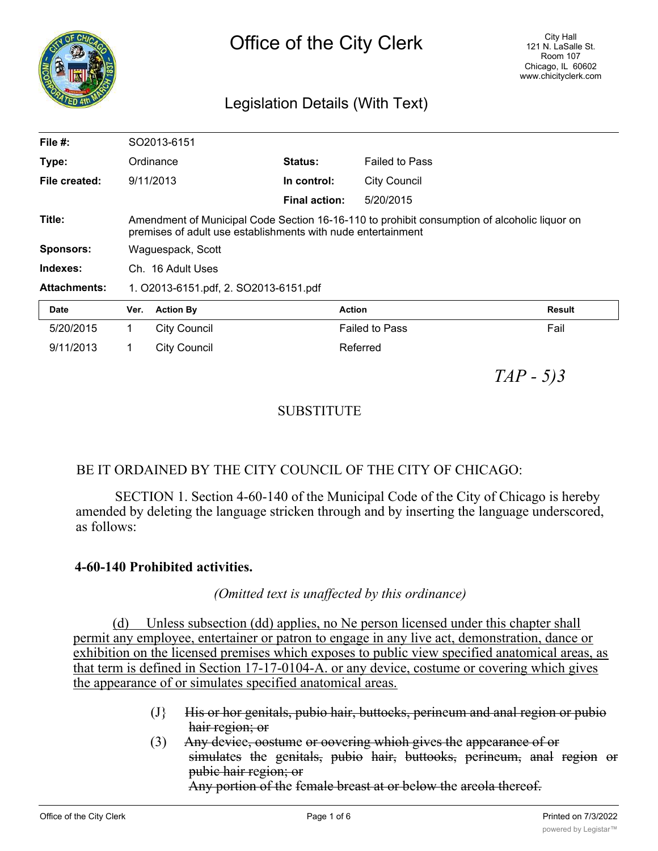

# Legislation Details (With Text)

| File $#$ :          |                                                                                                                                                              | SO2013-6151         |                      |                       |               |
|---------------------|--------------------------------------------------------------------------------------------------------------------------------------------------------------|---------------------|----------------------|-----------------------|---------------|
| Type:               |                                                                                                                                                              | Ordinance           | Status:              | <b>Failed to Pass</b> |               |
| File created:       |                                                                                                                                                              | 9/11/2013           | In control:          | <b>City Council</b>   |               |
|                     |                                                                                                                                                              |                     | <b>Final action:</b> | 5/20/2015             |               |
| Title:              | Amendment of Municipal Code Section 16-16-110 to prohibit consumption of alcoholic liquor on<br>premises of adult use establishments with nude entertainment |                     |                      |                       |               |
| <b>Sponsors:</b>    | Waguespack, Scott                                                                                                                                            |                     |                      |                       |               |
| Indexes:            | Ch. 16 Adult Uses                                                                                                                                            |                     |                      |                       |               |
| <b>Attachments:</b> | 1. O2013-6151.pdf, 2. SO2013-6151.pdf                                                                                                                        |                     |                      |                       |               |
| <b>Date</b>         | Ver.                                                                                                                                                         | <b>Action By</b>    |                      | <b>Action</b>         | <b>Result</b> |
| 5/20/2015           | 1                                                                                                                                                            | City Council        |                      | <b>Failed to Pass</b> | Fail          |
| 9/11/2013           | 1                                                                                                                                                            | <b>City Council</b> |                      | Referred              |               |

*TAP - 5)3*

## **SUBSTITUTE**

### BE IT ORDAINED BY THE CITY COUNCIL OF THE CITY OF CHICAGO:

SECTION 1. Section 4-60-140 of the Municipal Code of the City of Chicago is hereby amended by deleting the language stricken through and by inserting the language underscored, as follows:

#### **4-60-140 Prohibited activities.**

#### *(Omitted text is unaffected by this ordinance)*

(d) Unless subsection (dd) applies, no Ne person licensed under this chapter shall permit any employee, entertainer or patron to engage in any live act, demonstration, dance or exhibition on the licensed premises which exposes to public view specified anatomical areas, as that term is defined in Section 17-17-0104-A. or any device, costume or covering which gives the appearance of or simulates specified anatomical areas.

- (J} His or hor genitals, pubio hair, buttocks, perineum and anal region or pubio hair region; or
- (3) Any device, oostume or oovering whioh gives the appearance of or simulates the genitals, pubio hair, buttooks, perineum, anal region or pubic hair region; or

Any portion of the female breast at or below the areola thereof.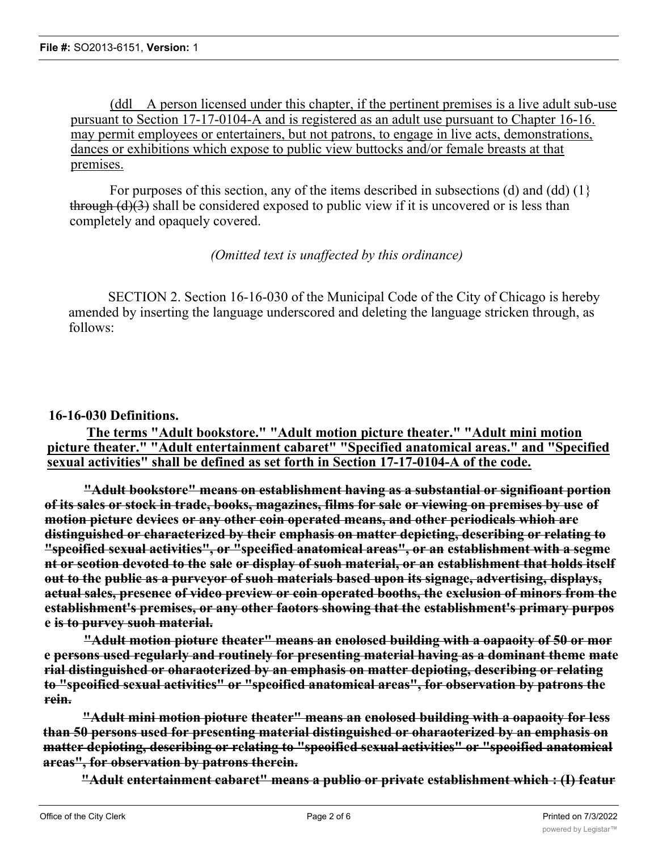(ddl A person licensed under this chapter, if the pertinent premises is a live adult sub-use pursuant to Section 17-17-0104-A and is registered as an adult use pursuant to Chapter 16-16. may permit employees or entertainers, but not patrons, to engage in live acts, demonstrations, dances or exhibitions which expose to public view buttocks and/or female breasts at that premises.

For purposes of this section, any of the items described in subsections (d) and (dd) (1} through  $(d)(3)$  shall be considered exposed to public view if it is uncovered or is less than completely and opaquely covered.

*(Omitted text is unaffected by this ordinance)*

SECTION 2. Section 16-16-030 of the Municipal Code of the City of Chicago is hereby amended by inserting the language underscored and deleting the language stricken through, as follows:

#### **16-16-030 Definitions.**

**The terms "Adult bookstore." "Adult motion picture theater." "Adult mini motion picture theater." "Adult entertainment cabaret" "Specified anatomical areas." and "Specified sexual activities" shall be defined as set forth in Section 17-17-0104-A of the code.**

**"Adult bookstore" means on establishment having as a substantial or signifioant portion of its sales or stock in trade, books, magazines, films for sale or viewing on premises by use of motion picture devices or any other coin operated means, and other periodicals whioh are distinguished or characterized by their emphasis on matter depicting, describing or relating to "speoified sexual activities", or "specified anatomical areas", or an establishment with a segme nt or seotion devoted to the sale or display of suoh material, or an establishment that holds itself out to the public as a purveyor of suoh materials based upon its signage, advertising, displays, actual sales, presence of video preview or coin operated booths, the exclusion of minors from the establishment's premises, or any other faotors showing that the establishment's primary purpos e is to purvey suoh material.**

**"Adult motion pioture theater" means an enolosed building with a oapaoity of 50 or mor e persons used regularly and routinely for presenting material having as a dominant theme mate rial distinguished or oharaoterized by an emphasis on matter depioting, describing or relating to "speoified sexual activities" or "speoified anatomical areas", for observation by patrons the rein.**

**"Adult mini motion pioture theater" means an enolosed building with a oapaoity for less than 50 persons used for presenting material distinguished or oharaoterized by an emphasis on matter depioting, describing or relating to "speoified sexual activities" or "speoified anatomical areas", for observation by patrons therein.**

**"Adult entertainment cabaret" means a publio or private establishment which : (I) featur**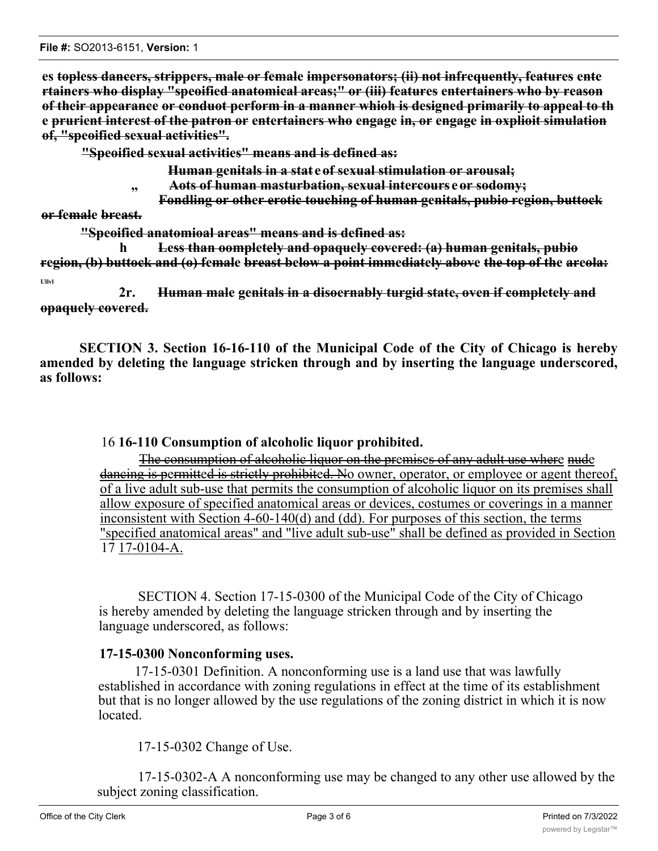**File #:** SO2013-6151, **Version:** 1

**es topless dancers, strippers, male or female impersonators; (ii) not infrequently, features ente rtainers who display "speoified anatomical areas;" or (iii) features entertainers who by reason of their appearance or conduot perform in a manner whioh is designed primarily to appeal to th e prurient interest of the patron or entertainers who engage in, or engage in oxplioit simulation of, "speoified sexual activities".**

**"Speoified sexual activities" means and is defined as:**

**Human genitals in a stat e of sexual stimulation or arousal;**

- **" Aots of human masturbation, sexual intercours e or sodomy;**
- **Fondling or other erotic touching of human genitals, pubio region, buttock**

**or female breast.**

**"Speoified anatomioal areas" means and is defined as:**

**h Less than oompletely and opaquely covered: (a) human genitals, pubio region, (b) buttock and (o) female breast below a point immediately above the top of the areola: Ullvl**

**2r. Human male genitals in a disoernably turgid state, oven if completely and opaquely covered.**

**SECTION 3. Section 16-16-110 of the Municipal Code of the City of Chicago is hereby amended by deleting the language stricken through and by inserting the language underscored, as follows:**

#### 16 **16-110 Consumption of alcoholic liquor prohibited.**

The consumption of alcoholic liquor on the premises of any adult use where nude dancing is permitted is strictly prohibited. No owner, operator, or employee or agent thereof, of a live adult sub-use that permits the consumption of alcoholic liquor on its premises shall allow exposure of specified anatomical areas or devices, costumes or coverings in a manner inconsistent with Section 4-60-140(d) and (dd). For purposes of this section, the terms "specified anatomical areas" and "live adult sub-use" shall be defined as provided in Section 17 17-0104-A.

SECTION 4. Section 17-15-0300 of the Municipal Code of the City of Chicago is hereby amended by deleting the language stricken through and by inserting the language underscored, as follows:

#### **17-15-0300 Nonconforming uses.**

17-15-0301 Definition. A nonconforming use is a land use that was lawfully established in accordance with zoning regulations in effect at the time of its establishment but that is no longer allowed by the use regulations of the zoning district in which it is now located.

17-15-0302 Change of Use.

17-15-0302-A A nonconforming use may be changed to any other use allowed by the subject zoning classification.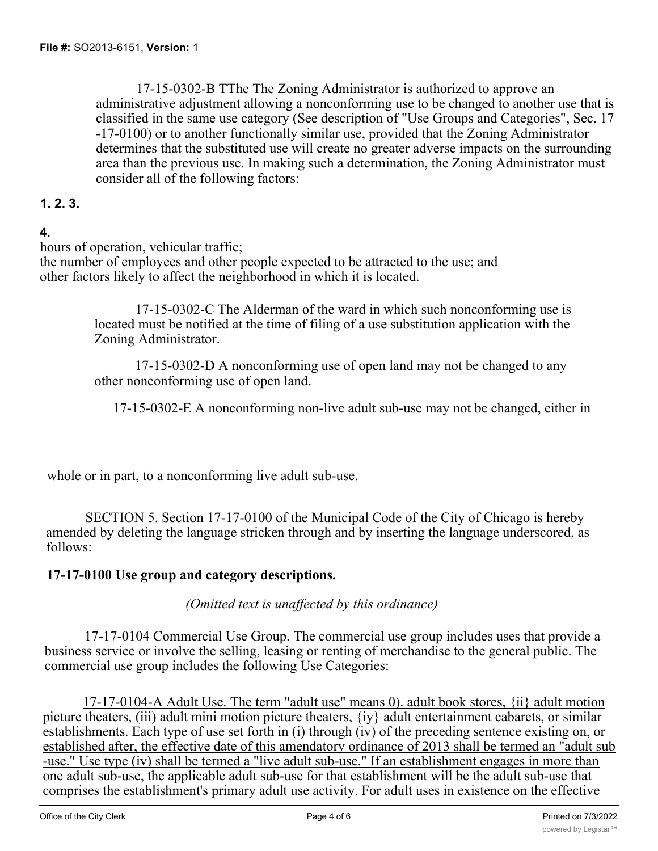17-15-0302-B TThe The Zoning Administrator is authorized to approve an administrative adjustment allowing a nonconforming use to be changed to another use that is classified in the same use category (See description of "Use Groups and Categories", Sec. 17 -17-0100) or to another functionally similar use, provided that the Zoning Administrator determines that the substituted use will create no greater adverse impacts on the surrounding area than the previous use. In making such a determination, the Zoning Administrator must consider all of the following factors:

#### **1. 2. 3.**

### **4.**

hours of operation, vehicular traffic;

the number of employees and other people expected to be attracted to the use; and other factors likely to affect the neighborhood in which it is located.

> 17-15-0302-C The Alderman of the ward in which such nonconforming use is located must be notified at the time of filing of a use substitution application with the Zoning Administrator.

> 17-15-0302-D A nonconforming use of open land may not be changed to any other nonconforming use of open land.

#### 17-15-0302-E A nonconforming non-live adult sub-use may not be changed, either in

whole or in part, to a nonconforming live adult sub-use.

SECTION 5. Section 17-17-0100 of the Municipal Code of the City of Chicago is hereby amended by deleting the language stricken through and by inserting the language underscored, as follows:

#### **17-17-0100 Use group and category descriptions.**

#### *(Omitted text is unaffected by this ordinance)*

17-17-0104 Commercial Use Group. The commercial use group includes uses that provide a business service or involve the selling, leasing or renting of merchandise to the general public. The commercial use group includes the following Use Categories:

17-17-0104-A Adult Use. The term "adult use" means 0). adult book stores, {ii} adult motion picture theaters, (iii) adult mini motion picture theaters, {iy} adult entertainment cabarets, or similar establishments. Each type of use set forth in (i) through (iv) of the preceding sentence existing on, or established after, the effective date of this amendatory ordinance of 2013 shall be termed an "adult sub -use." Use type (iv) shall be termed a "live adult sub-use." If an establishment engages in more than one adult sub-use, the applicable adult sub-use for that establishment will be the adult sub-use that comprises the establishment's primary adult use activity. For adult uses in existence on the effective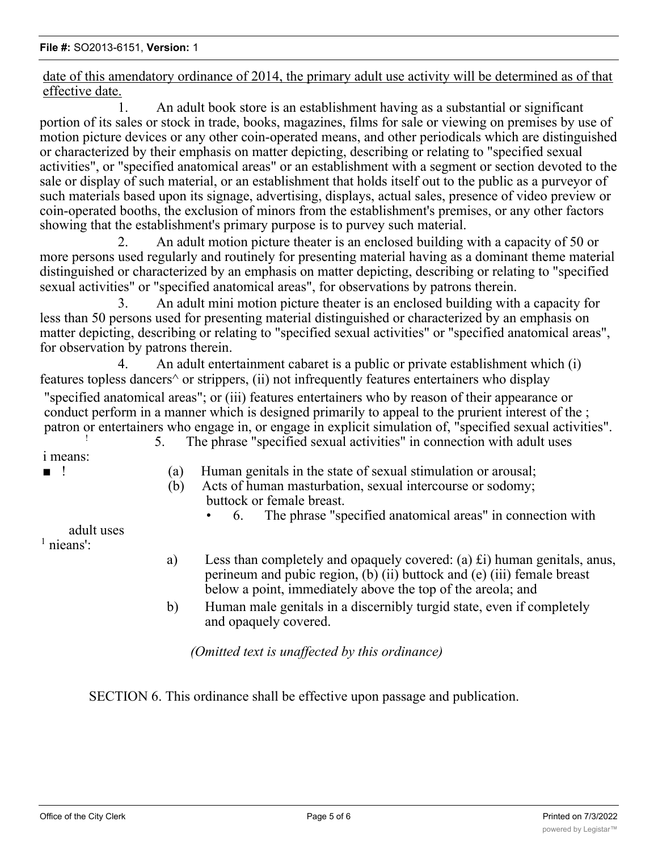date of this amendatory ordinance of 2014, the primary adult use activity will be determined as of that effective date.

1. An adult book store is an establishment having as a substantial or significant portion of its sales or stock in trade, books, magazines, films for sale or viewing on premises by use of motion picture devices or any other coin-operated means, and other periodicals which are distinguished or characterized by their emphasis on matter depicting, describing or relating to "specified sexual activities", or "specified anatomical areas" or an establishment with a segment or section devoted to the sale or display of such material, or an establishment that holds itself out to the public as a purveyor of such materials based upon its signage, advertising, displays, actual sales, presence of video preview or coin-operated booths, the exclusion of minors from the establishment's premises, or any other factors showing that the establishment's primary purpose is to purvey such material.

2. An adult motion picture theater is an enclosed building with a capacity of 50 or more persons used regularly and routinely for presenting material having as a dominant theme material distinguished or characterized by an emphasis on matter depicting, describing or relating to "specified sexual activities" or "specified anatomical areas", for observations by patrons therein.

3. An adult mini motion picture theater is an enclosed building with a capacity for less than 50 persons used for presenting material distinguished or characterized by an emphasis on matter depicting, describing or relating to "specified sexual activities" or "specified anatomical areas", for observation by patrons therein.

4. An adult entertainment cabaret is a public or private establishment which (i) features topless dancers<sup> $\wedge$ </sup> or strippers, (ii) not infrequently features entertainers who display

"specified anatomical areas"; or (iii) features entertainers who by reason of their appearance or conduct perform in a manner which is designed primarily to appeal to the prurient interest of the; patron or entertainers who engage in, or engage in explicit simulation of, "specified sexual activities".

i means:

- ! 5. The phrase "specified sexual activities" in connection with adult uses
- ! (a) Human genitals in the state of sexual stimulation or arousal;
	- (b) Acts of human masturbation, sexual intercourse or sodomy; buttock or female breast.
		- 6. The phrase "specified anatomical areas" in connection with

adult uses

<sup>1</sup> nieans':

- a) Less than completely and opaquely covered: (a)  $\hat{\boldsymbol{\epsilon}}$  to human genitals, anus, perineum and pubic region, (b) (ii) buttock and (e) (iii) female breast below a point, immediately above the top of the areola; and
- b) Human male genitals in a discernibly turgid state, even if completely and opaquely covered.

*(Omitted text is unaffected by this ordinance)*

SECTION 6. This ordinance shall be effective upon passage and publication.